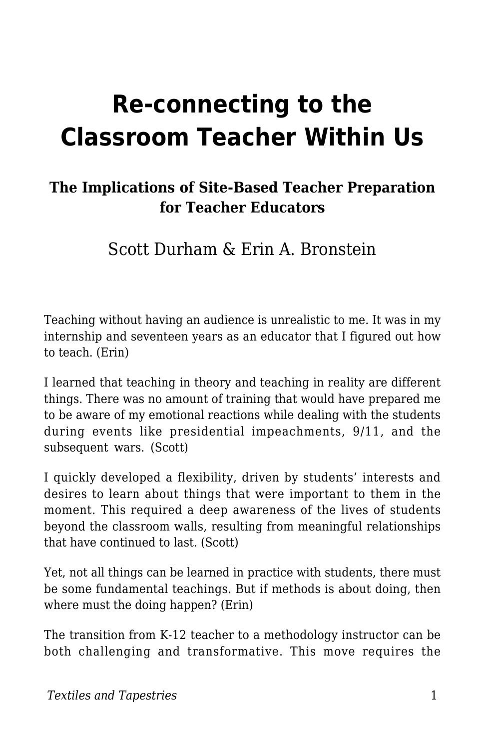# **Re-connecting to the Classroom Teacher Within Us**

#### **The Implications of Site-Based Teacher Preparation for Teacher Educators**

Scott Durham & Erin A. Bronstein

Teaching without having an audience is unrealistic to me. It was in my internship and seventeen years as an educator that I figured out how to teach. (Erin)

I learned that teaching in theory and teaching in reality are different things. There was no amount of training that would have prepared me to be aware of my emotional reactions while dealing with the students during events like presidential impeachments, 9/11, and the subsequent wars. (Scott)

I quickly developed a flexibility, driven by students' interests and desires to learn about things that were important to them in the moment. This required a deep awareness of the lives of students beyond the classroom walls, resulting from meaningful relationships that have continued to last. (Scott)

Yet, not all things can be learned in practice with students, there must be some fundamental teachings. But if methods is about doing, then where must the doing happen? (Erin)

The transition from K-12 teacher to a methodology instructor can be both challenging and transformative. This move requires the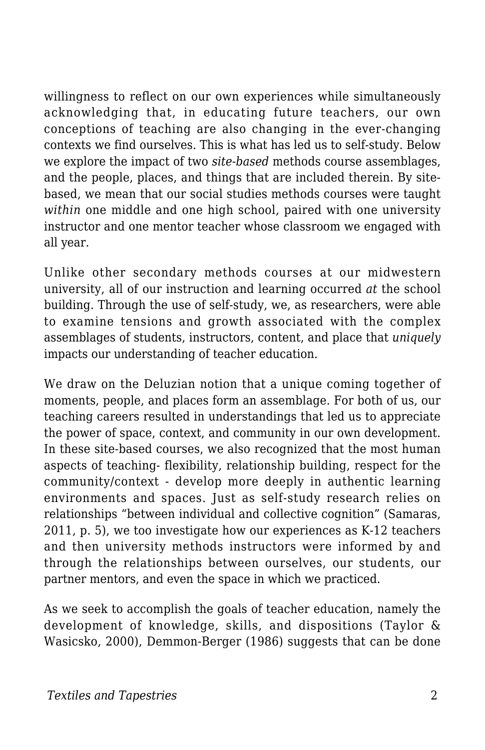willingness to reflect on our own experiences while simultaneously acknowledging that, in educating future teachers, our own conceptions of teaching are also changing in the ever-changing contexts we find ourselves. This is what has led us to self-study. Below we explore the impact of two *site-based* methods course assemblages, and the people, places, and things that are included therein. By sitebased, we mean that our social studies methods courses were taught *within* one middle and one high school, paired with one university instructor and one mentor teacher whose classroom we engaged with all year.

Unlike other secondary methods courses at our midwestern university, all of our instruction and learning occurred *at* the school building. Through the use of self-study, we, as researchers, were able to examine tensions and growth associated with the complex assemblages of students, instructors, content, and place that *uniquely* impacts our understanding of teacher education.

We draw on the Deluzian notion that a unique coming together of moments, people, and places form an assemblage. For both of us, our teaching careers resulted in understandings that led us to appreciate the power of space, context, and community in our own development. In these site-based courses, we also recognized that the most human aspects of teaching- flexibility, relationship building, respect for the community/context - develop more deeply in authentic learning environments and spaces. Just as self-study research relies on relationships "between individual and collective cognition" (Samaras, 2011, p. 5), we too investigate how our experiences as K-12 teachers and then university methods instructors were informed by and through the relationships between ourselves, our students, our partner mentors, and even the space in which we practiced.

As we seek to accomplish the goals of teacher education, namely the development of knowledge, skills, and dispositions (Taylor & Wasicsko, 2000), Demmon-Berger (1986) suggests that can be done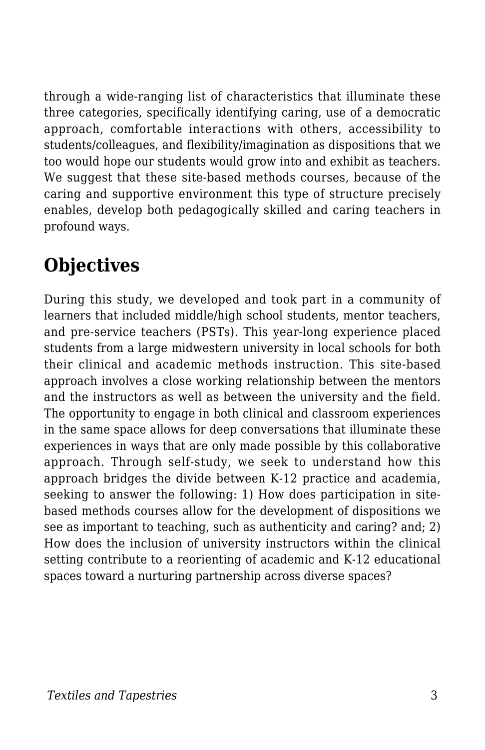through a wide-ranging list of characteristics that illuminate these three categories, specifically identifying caring, use of a democratic approach, comfortable interactions with others, accessibility to students/colleagues, and flexibility/imagination as dispositions that we too would hope our students would grow into and exhibit as teachers. We suggest that these site-based methods courses, because of the caring and supportive environment this type of structure precisely enables, develop both pedagogically skilled and caring teachers in profound ways.

## **Objectives**

During this study, we developed and took part in a community of learners that included middle/high school students, mentor teachers, and pre-service teachers (PSTs). This year-long experience placed students from a large midwestern university in local schools for both their clinical and academic methods instruction. This site-based approach involves a close working relationship between the mentors and the instructors as well as between the university and the field. The opportunity to engage in both clinical and classroom experiences in the same space allows for deep conversations that illuminate these experiences in ways that are only made possible by this collaborative approach. Through self-study, we seek to understand how this approach bridges the divide between K-12 practice and academia, seeking to answer the following: 1) How does participation in sitebased methods courses allow for the development of dispositions we see as important to teaching, such as authenticity and caring? and; 2) How does the inclusion of university instructors within the clinical setting contribute to a reorienting of academic and K-12 educational spaces toward a nurturing partnership across diverse spaces?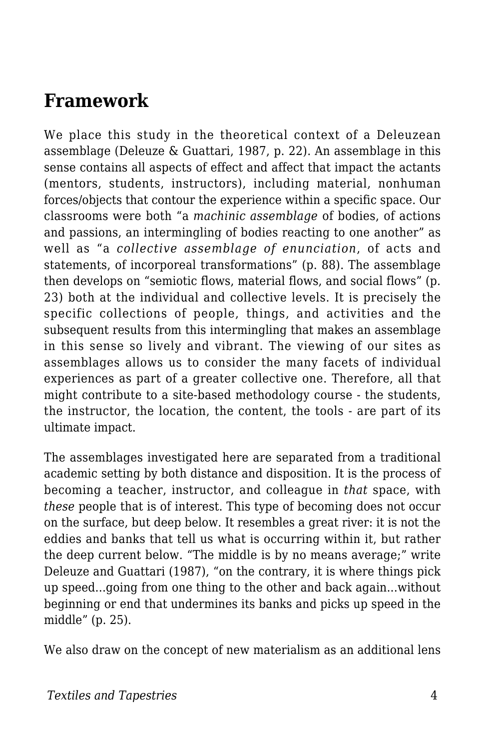### **Framework**

We place this study in the theoretical context of a Deleuzean assemblage (Deleuze & Guattari, 1987, p. 22). An assemblage in this sense contains all aspects of effect and affect that impact the actants (mentors, students, instructors), including material, nonhuman forces/objects that contour the experience within a specific space. Our classrooms were both "a *machinic assemblage* of bodies, of actions and passions, an intermingling of bodies reacting to one another" as well as "a *collective assemblage of enunciation*, of acts and statements, of incorporeal transformations" (p. 88). The assemblage then develops on "semiotic flows, material flows, and social flows" (p. 23) both at the individual and collective levels. It is precisely the specific collections of people, things, and activities and the subsequent results from this intermingling that makes an assemblage in this sense so lively and vibrant. The viewing of our sites as assemblages allows us to consider the many facets of individual experiences as part of a greater collective one. Therefore, all that might contribute to a site-based methodology course - the students, the instructor, the location, the content, the tools - are part of its ultimate impact.

The assemblages investigated here are separated from a traditional academic setting by both distance and disposition. It is the process of becoming a teacher, instructor, and colleague in *that* space, with *these* people that is of interest. This type of becoming does not occur on the surface, but deep below. It resembles a great river: it is not the eddies and banks that tell us what is occurring within it, but rather the deep current below. "The middle is by no means average;" write Deleuze and Guattari (1987), "on the contrary, it is where things pick up speed...going from one thing to the other and back again...without beginning or end that undermines its banks and picks up speed in the middle" (p. 25).

We also draw on the concept of new materialism as an additional lens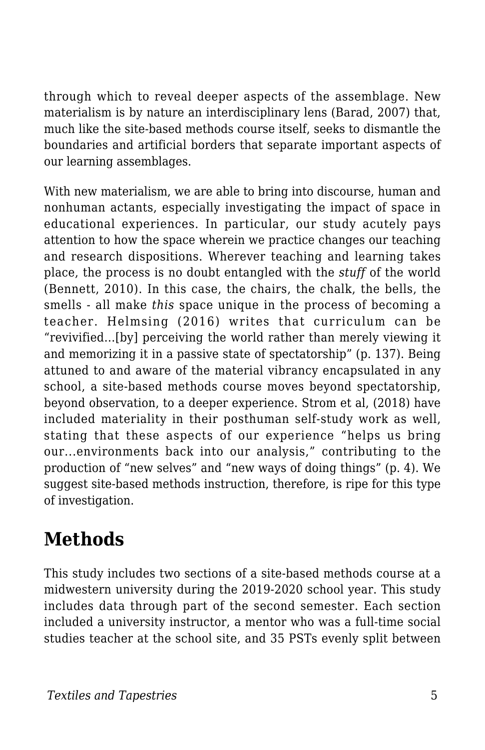through which to reveal deeper aspects of the assemblage. New materialism is by nature an interdisciplinary lens (Barad, 2007) that, much like the site-based methods course itself, seeks to dismantle the boundaries and artificial borders that separate important aspects of our learning assemblages.

With new materialism, we are able to bring into discourse, human and nonhuman actants, especially investigating the impact of space in educational experiences. In particular, our study acutely pays attention to how the space wherein we practice changes our teaching and research dispositions. Wherever teaching and learning takes place, the process is no doubt entangled with the *stuff* of the world (Bennett, 2010). In this case, the chairs, the chalk, the bells, the smells - all make *this* space unique in the process of becoming a teacher. Helmsing (2016) writes that curriculum can be "revivified…[by] perceiving the world rather than merely viewing it and memorizing it in a passive state of spectatorship" (p. 137). Being attuned to and aware of the material vibrancy encapsulated in any school, a site-based methods course moves beyond spectatorship, beyond observation, to a deeper experience. Strom et al, (2018) have included materiality in their posthuman self-study work as well, stating that these aspects of our experience "helps us bring our...environments back into our analysis," contributing to the production of "new selves" and "new ways of doing things" (p. 4). We suggest site-based methods instruction, therefore, is ripe for this type of investigation.

### **Methods**

This study includes two sections of a site-based methods course at a midwestern university during the 2019-2020 school year. This study includes data through part of the second semester. Each section included a university instructor, a mentor who was a full-time social studies teacher at the school site, and 35 PSTs evenly split between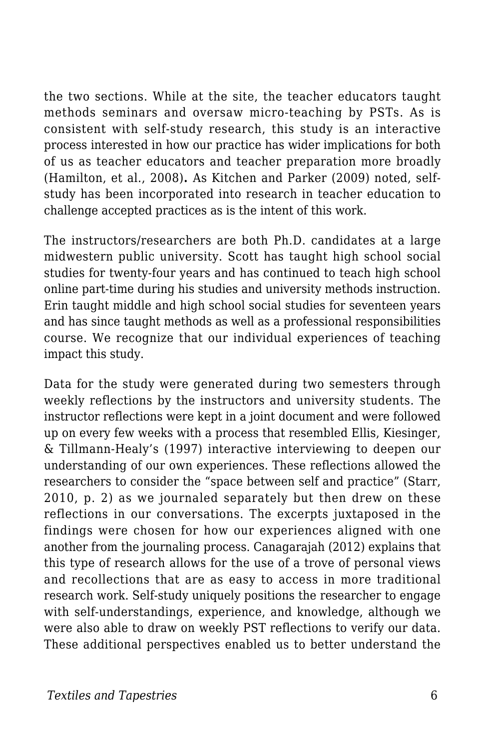the two sections. While at the site, the teacher educators taught methods seminars and oversaw micro-teaching by PSTs. As is consistent with self-study research, this study is an interactive process interested in how our practice has wider implications for both of us as teacher educators and teacher preparation more broadly (Hamilton, et al., 2008)**.** As Kitchen and Parker (2009) noted, selfstudy has been incorporated into research in teacher education to challenge accepted practices as is the intent of this work.

The instructors/researchers are both Ph.D. candidates at a large midwestern public university. Scott has taught high school social studies for twenty-four years and has continued to teach high school online part-time during his studies and university methods instruction. Erin taught middle and high school social studies for seventeen years and has since taught methods as well as a professional responsibilities course. We recognize that our individual experiences of teaching impact this study.

Data for the study were generated during two semesters through weekly reflections by the instructors and university students. The instructor reflections were kept in a joint document and were followed up on every few weeks with a process that resembled Ellis, Kiesinger, & Tillmann-Healy's (1997) interactive interviewing to deepen our understanding of our own experiences. These reflections allowed the researchers to consider the "space between self and practice" (Starr, 2010, p. 2) as we journaled separately but then drew on these reflections in our conversations. The excerpts juxtaposed in the findings were chosen for how our experiences aligned with one another from the journaling process. Canagarajah (2012) explains that this type of research allows for the use of a trove of personal views and recollections that are as easy to access in more traditional research work. Self-study uniquely positions the researcher to engage with self-understandings, experience, and knowledge, although we were also able to draw on weekly PST reflections to verify our data. These additional perspectives enabled us to better understand the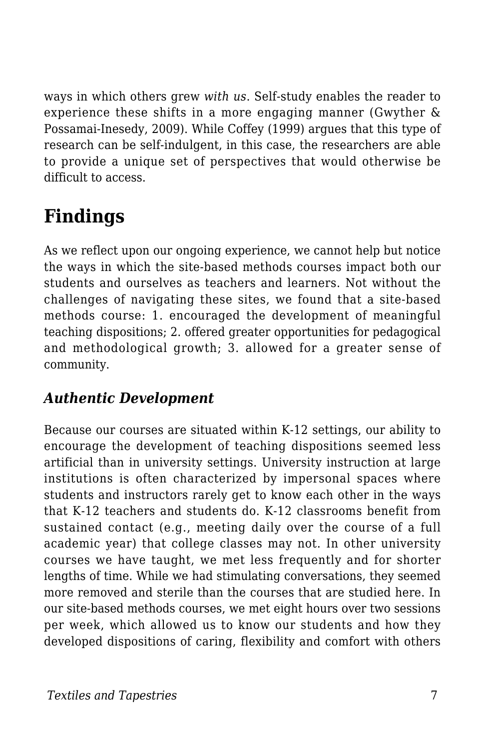ways in which others grew *with us*. Self-study enables the reader to experience these shifts in a more engaging manner (Gwyther & Possamai-Inesedy, 2009). While Coffey (1999) argues that this type of research can be self-indulgent, in this case, the researchers are able to provide a unique set of perspectives that would otherwise be difficult to access.

## **Findings**

As we reflect upon our ongoing experience, we cannot help but notice the ways in which the site-based methods courses impact both our students and ourselves as teachers and learners. Not without the challenges of navigating these sites, we found that a site-based methods course: 1. encouraged the development of meaningful teaching dispositions; 2. offered greater opportunities for pedagogical and methodological growth; 3. allowed for a greater sense of community.

#### *Authentic Development*

Because our courses are situated within K-12 settings, our ability to encourage the development of teaching dispositions seemed less artificial than in university settings. University instruction at large institutions is often characterized by impersonal spaces where students and instructors rarely get to know each other in the ways that K-12 teachers and students do. K-12 classrooms benefit from sustained contact (e.g., meeting daily over the course of a full academic year) that college classes may not. In other university courses we have taught, we met less frequently and for shorter lengths of time. While we had stimulating conversations, they seemed more removed and sterile than the courses that are studied here. In our site-based methods courses, we met eight hours over two sessions per week, which allowed us to know our students and how they developed dispositions of caring, flexibility and comfort with others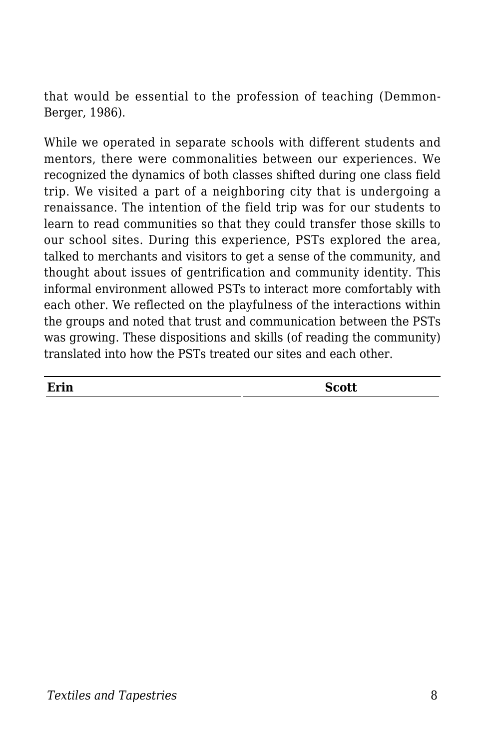that would be essential to the profession of teaching (Demmon-Berger, 1986).

While we operated in separate schools with different students and mentors, there were commonalities between our experiences. We recognized the dynamics of both classes shifted during one class field trip. We visited a part of a neighboring city that is undergoing a renaissance. The intention of the field trip was for our students to learn to read communities so that they could transfer those skills to our school sites. During this experience, PSTs explored the area, talked to merchants and visitors to get a sense of the community, and thought about issues of gentrification and community identity. This informal environment allowed PSTs to interact more comfortably with each other. We reflected on the playfulness of the interactions within the groups and noted that trust and communication between the PSTs was growing. These dispositions and skills (of reading the community) translated into how the PSTs treated our sites and each other.

| Erin | <b>Scott</b> |
|------|--------------|
|      |              |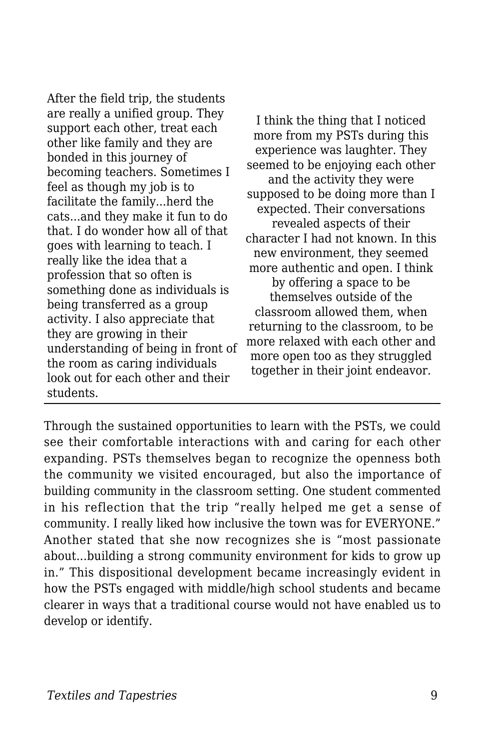After the field trip, the students are really a unified group. They support each other, treat each other like family and they are bonded in this journey of becoming teachers. Sometimes I feel as though my job is to facilitate the family...herd the cats...and they make it fun to do that. I do wonder how all of that goes with learning to teach. I really like the idea that a profession that so often is something done as individuals is being transferred as a group activity. I also appreciate that they are growing in their understanding of being in front of the room as caring individuals look out for each other and their students.

I think the thing that I noticed more from my PSTs during this experience was laughter. They seemed to be enjoying each other and the activity they were supposed to be doing more than I expected. Their conversations revealed aspects of their character I had not known. In this new environment, they seemed more authentic and open. I think by offering a space to be themselves outside of the classroom allowed them, when returning to the classroom, to be more relaxed with each other and more open too as they struggled together in their joint endeavor.

Through the sustained opportunities to learn with the PSTs, we could see their comfortable interactions with and caring for each other expanding. PSTs themselves began to recognize the openness both the community we visited encouraged, but also the importance of building community in the classroom setting. One student commented in his reflection that the trip "really helped me get a sense of community. I really liked how inclusive the town was for EVERYONE." Another stated that she now recognizes she is "most passionate about...building a strong community environment for kids to grow up in." This dispositional development became increasingly evident in how the PSTs engaged with middle/high school students and became clearer in ways that a traditional course would not have enabled us to develop or identify.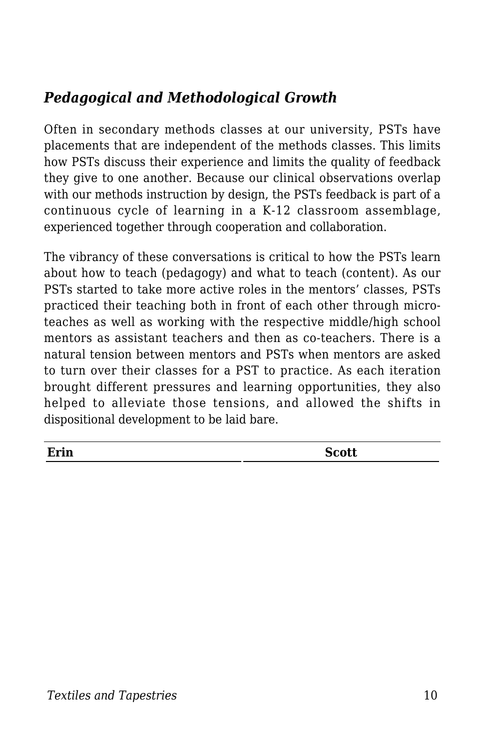#### *Pedagogical and Methodological Growth*

Often in secondary methods classes at our university, PSTs have placements that are independent of the methods classes. This limits how PSTs discuss their experience and limits the quality of feedback they give to one another. Because our clinical observations overlap with our methods instruction by design, the PSTs feedback is part of a continuous cycle of learning in a K-12 classroom assemblage, experienced together through cooperation and collaboration.

The vibrancy of these conversations is critical to how the PSTs learn about how to teach (pedagogy) and what to teach (content). As our PSTs started to take more active roles in the mentors' classes, PSTs practiced their teaching both in front of each other through microteaches as well as working with the respective middle/high school mentors as assistant teachers and then as co-teachers. There is a natural tension between mentors and PSTs when mentors are asked to turn over their classes for a PST to practice. As each iteration brought different pressures and learning opportunities, they also helped to alleviate those tensions, and allowed the shifts in dispositional development to be laid bare.

| −<br>`rin | <b>SCOLL</b> |
|-----------|--------------|
|-----------|--------------|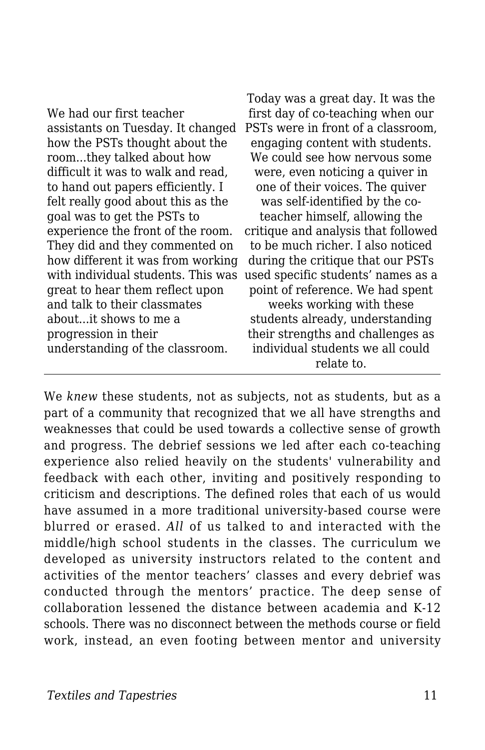| We had our first teacher           |  |
|------------------------------------|--|
| assistants on Tuesday. It changed  |  |
| how the PSTs thought about the     |  |
| roomthey talked about how          |  |
| difficult it was to walk and read, |  |
| to hand out papers efficiently. I  |  |
| felt really good about this as the |  |
| goal was to get the PSTs to        |  |
| experience the front of the room.  |  |
| They did and they commented on     |  |
| how different it was from working  |  |
| with individual students. This was |  |
| great to hear them reflect upon    |  |
| and talk to their classmates       |  |
| aboutit shows to me a              |  |
| progression in their               |  |
| understanding of the classroom.    |  |
|                                    |  |

Today was a great day. It was the first day of co-teaching when our PSTs were in front of a classroom, engaging content with students. We could see how nervous some were, even noticing a quiver in one of their voices. The quiver was self-identified by the coteacher himself, allowing the critique and analysis that followed to be much richer. I also noticed during the critique that our PSTs used specific students' names as a point of reference. We had spent weeks working with these students already, understanding their strengths and challenges as individual students we all could relate to.

We *knew* these students, not as subjects, not as students, but as a part of a community that recognized that we all have strengths and weaknesses that could be used towards a collective sense of growth and progress. The debrief sessions we led after each co-teaching experience also relied heavily on the students' vulnerability and feedback with each other, inviting and positively responding to criticism and descriptions. The defined roles that each of us would have assumed in a more traditional university-based course were blurred or erased. *All* of us talked to and interacted with the middle/high school students in the classes. The curriculum we developed as university instructors related to the content and activities of the mentor teachers' classes and every debrief was conducted through the mentors' practice. The deep sense of collaboration lessened the distance between academia and K-12 schools. There was no disconnect between the methods course or field work, instead, an even footing between mentor and university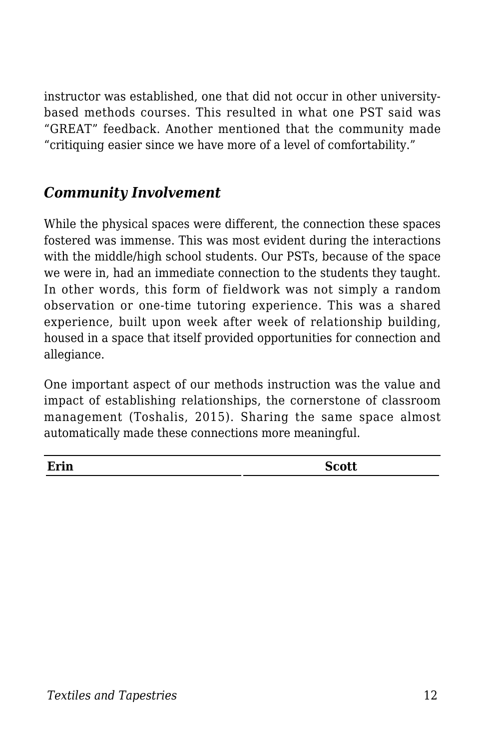instructor was established, one that did not occur in other universitybased methods courses. This resulted in what one PST said was "GREAT" feedback. Another mentioned that the community made "critiquing easier since we have more of a level of comfortability."

#### *Community Involvement*

While the physical spaces were different, the connection these spaces fostered was immense. This was most evident during the interactions with the middle/high school students. Our PSTs, because of the space we were in, had an immediate connection to the students they taught. In other words, this form of fieldwork was not simply a random observation or one-time tutoring experience. This was a shared experience, built upon week after week of relationship building, housed in a space that itself provided opportunities for connection and allegiance.

One important aspect of our methods instruction was the value and impact of establishing relationships, the cornerstone of classroom management (Toshalis, 2015). Sharing the same space almost automatically made these connections more meaningful.

| Erin<br><b>Scott</b> |
|----------------------|
|                      |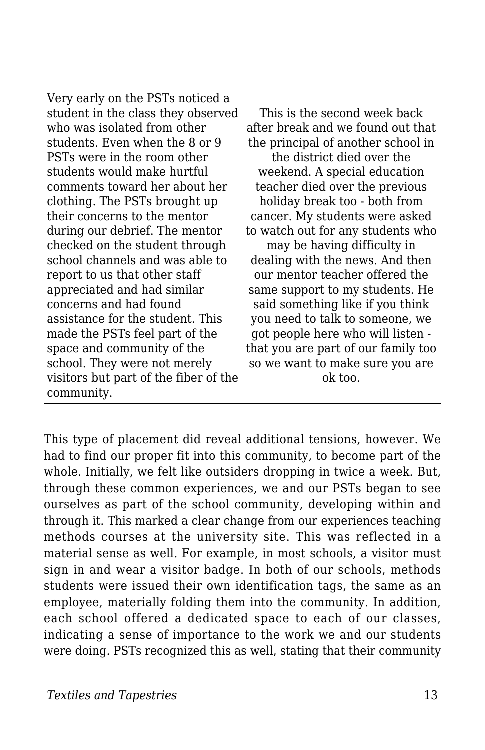Very early on the PSTs noticed a student in the class they observed who was isolated from other students. Even when the 8 or 9 PSTs were in the room other students would make hurtful comments toward her about her clothing. The PSTs brought up their concerns to the mentor during our debrief. The mentor checked on the student through school channels and was able to report to us that other staff appreciated and had similar concerns and had found assistance for the student. This made the PSTs feel part of the space and community of the school. They were not merely visitors but part of the fiber of the community.

This is the second week back after break and we found out that the principal of another school in the district died over the weekend. A special education teacher died over the previous holiday break too - both from cancer. My students were asked to watch out for any students who may be having difficulty in dealing with the news. And then our mentor teacher offered the same support to my students. He said something like if you think you need to talk to someone, we got people here who will listen that you are part of our family too so we want to make sure you are ok too.

This type of placement did reveal additional tensions, however. We had to find our proper fit into this community, to become part of the whole. Initially, we felt like outsiders dropping in twice a week. But, through these common experiences, we and our PSTs began to see ourselves as part of the school community, developing within and through it. This marked a clear change from our experiences teaching methods courses at the university site. This was reflected in a material sense as well. For example, in most schools, a visitor must sign in and wear a visitor badge. In both of our schools, methods students were issued their own identification tags, the same as an employee, materially folding them into the community. In addition, each school offered a dedicated space to each of our classes, indicating a sense of importance to the work we and our students were doing. PSTs recognized this as well, stating that their community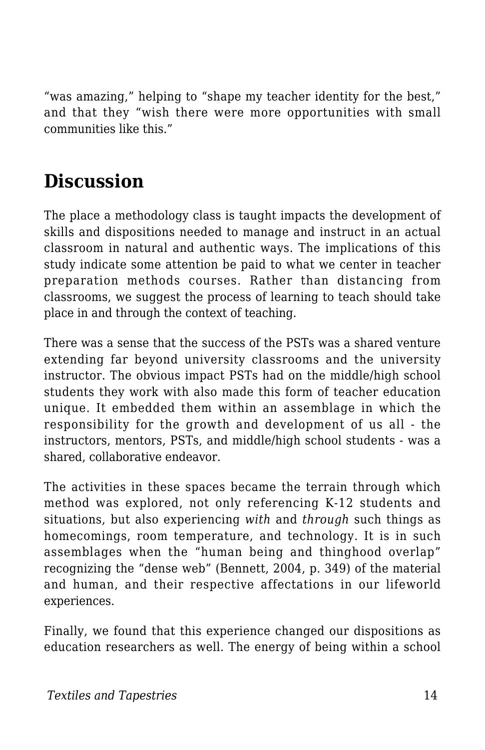"was amazing," helping to "shape my teacher identity for the best," and that they "wish there were more opportunities with small communities like this."

## **Discussion**

The place a methodology class is taught impacts the development of skills and dispositions needed to manage and instruct in an actual classroom in natural and authentic ways. The implications of this study indicate some attention be paid to what we center in teacher preparation methods courses. Rather than distancing from classrooms, we suggest the process of learning to teach should take place in and through the context of teaching.

There was a sense that the success of the PSTs was a shared venture extending far beyond university classrooms and the university instructor. The obvious impact PSTs had on the middle/high school students they work with also made this form of teacher education unique. It embedded them within an assemblage in which the responsibility for the growth and development of us all - the instructors, mentors, PSTs, and middle/high school students - was a shared, collaborative endeavor.

The activities in these spaces became the terrain through which method was explored, not only referencing K-12 students and situations, but also experiencing *with* and *through* such things as homecomings, room temperature, and technology. It is in such assemblages when the "human being and thinghood overlap" recognizing the "dense web" (Bennett, 2004, p. 349) of the material and human, and their respective affectations in our lifeworld experiences.

Finally, we found that this experience changed our dispositions as education researchers as well. The energy of being within a school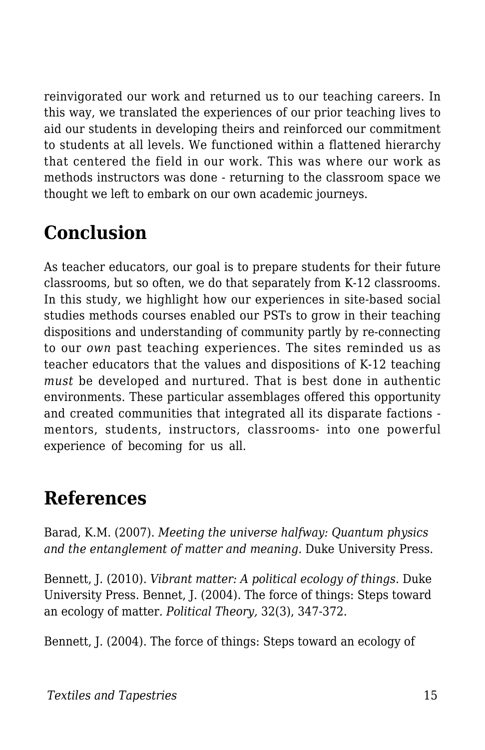reinvigorated our work and returned us to our teaching careers. In this way, we translated the experiences of our prior teaching lives to aid our students in developing theirs and reinforced our commitment to students at all levels. We functioned within a flattened hierarchy that centered the field in our work. This was where our work as methods instructors was done - returning to the classroom space we thought we left to embark on our own academic journeys.

## **Conclusion**

As teacher educators, our goal is to prepare students for their future classrooms, but so often, we do that separately from K-12 classrooms. In this study, we highlight how our experiences in site-based social studies methods courses enabled our PSTs to grow in their teaching dispositions and understanding of community partly by re-connecting to our *own* past teaching experiences. The sites reminded us as teacher educators that the values and dispositions of K-12 teaching *must* be developed and nurtured. That is best done in authentic environments. These particular assemblages offered this opportunity and created communities that integrated all its disparate factions mentors, students, instructors, classrooms- into one powerful experience of becoming for us all.

### **References**

Barad, K.M. (2007). *Meeting the universe halfway: Quantum physics and the entanglement of matter and meaning.* Duke University Press.

Bennett, J. (2010). *Vibrant matter: A political ecology of things*. Duke University Press. Bennet, J. (2004). The force of things: Steps toward an ecology of matter*. Political Theory,* 32(3), 347-372.

Bennett, J. (2004). The force of things: Steps toward an ecology of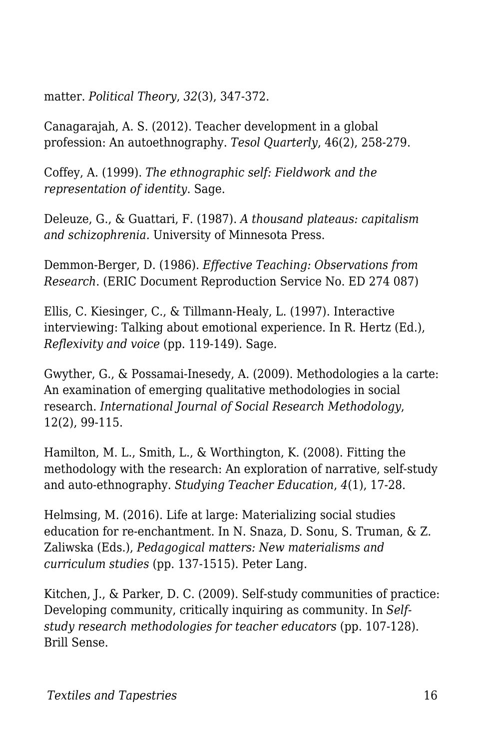matter. *Political Theory*, *32*(3), 347-372.

Canagarajah, A. S. (2012). Teacher development in a global profession: An autoethnography. *Tesol Quarterly*, 46(2), 258-279.

Coffey, A. (1999). *The ethnographic self: Fieldwork and the representation of identity*. Sage.

Deleuze, G., & Guattari, F. (1987). *A thousand plateaus: capitalism and schizophrenia.* University of Minnesota Press.

Demmon-Berger, D. (1986). *Effective Teaching: Observations from Research*. (ERIC Document Reproduction Service No. ED 274 087)

Ellis, C. Kiesinger, C., & Tillmann-Healy, L. (1997). Interactive interviewing: Talking about emotional experience. In R. Hertz (Ed.), *Reflexivity and voice* (pp. 119-149). Sage*.*

Gwyther, G., & Possamai-Inesedy, A. (2009). Methodologies a la carte: An examination of emerging qualitative methodologies in social research. *International Journal of Social Research Methodology*, 12(2), 99-115.

Hamilton, M. L., Smith, L., & Worthington, K. (2008). Fitting the methodology with the research: An exploration of narrative, self-study and auto-ethnography. *Studying Teacher Education*, *4*(1), 17-28.

Helmsing, M. (2016). Life at large: Materializing social studies education for re-enchantment. In N. Snaza, D. Sonu, S. Truman, & Z. Zaliwska (Eds.), *Pedagogical matters: New materialisms and curriculum studies* (pp. 137-1515). Peter Lang.

Kitchen, J., & Parker, D. C. (2009). Self-study communities of practice: Developing community, critically inquiring as community. In *Selfstudy research methodologies for teacher educators* (pp. 107-128). Brill Sense.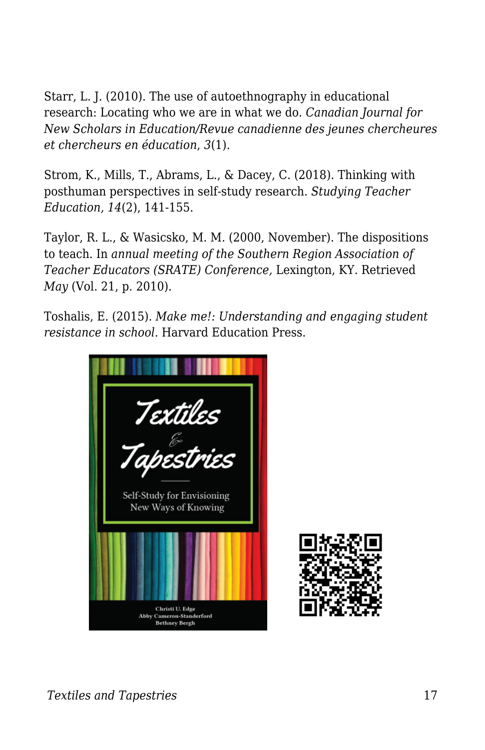Starr, L. J. (2010). The use of autoethnography in educational research: Locating who we are in what we do. *Canadian Journal for New Scholars in Education/Revue canadienne des jeunes chercheures et chercheurs en éducation*, *3*(1).

Strom, K., Mills, T., Abrams, L., & Dacey, C. (2018). Thinking with posthuman perspectives in self-study research. *Studying Teacher Education, 14*(2), 141-155.

Taylor, R. L., & Wasicsko, M. M. (2000, November). The dispositions to teach. In *annual meeting of the Southern Region Association of Teacher Educators (SRATE) Conference,* Lexington, KY. Retrieved *May* (Vol. 21, p. 2010).

Toshalis, E. (2015). *Make me!: Understanding and engaging student resistance in school*. Harvard Education Press.